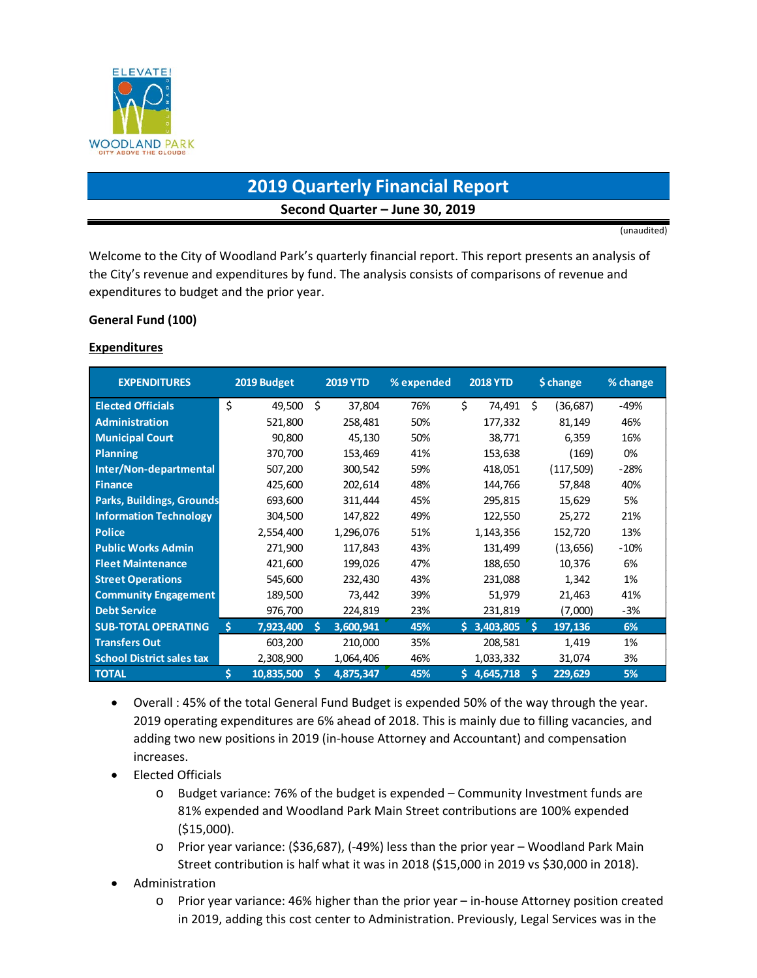

# **2019 Quarterly Financial Report Second Quarter – June 30, 2019**

(unaudited)

Welcome to the City of Woodland Park's quarterly financial report. This report presents an analysis of the City's revenue and expenditures by fund. The analysis consists of comparisons of revenue and expenditures to budget and the prior year.

### **General Fund (100)**

#### **Expenditures**

| <b>EXPENDITURES</b>              | 2019 Budget     |    | <b>2019 YTD</b> | % expended |    | <b>2018 YTD</b> |    | \$ change | % change |
|----------------------------------|-----------------|----|-----------------|------------|----|-----------------|----|-----------|----------|
| <b>Elected Officials</b>         | \$<br>49,500    | Ś  | 37,804          | 76%        | Ś. | 74.491          | Ś. | (36, 687) | -49%     |
| <b>Administration</b>            | 521,800         |    | 258,481         | 50%        |    | 177,332         |    | 81,149    | 46%      |
| <b>Municipal Court</b>           | 90,800          |    | 45,130          | 50%        |    | 38,771          |    | 6,359     | 16%      |
| <b>Planning</b>                  | 370,700         |    | 153,469         | 41%        |    | 153,638         |    | (169)     | 0%       |
| Inter/Non-departmental           | 507,200         |    | 300,542         | 59%        |    | 418,051         |    | (117,509) | $-28%$   |
| <b>Finance</b>                   | 425,600         |    | 202,614         | 48%        |    | 144,766         |    | 57,848    | 40%      |
| <b>Parks, Buildings, Grounds</b> | 693,600         |    | 311,444         | 45%        |    | 295,815         |    | 15,629    | 5%       |
| <b>Information Technology</b>    | 304,500         |    | 147,822         | 49%        |    | 122,550         |    | 25,272    | 21%      |
| <b>Police</b>                    | 2,554,400       |    | 1,296,076       | 51%        |    | 1,143,356       |    | 152,720   | 13%      |
| <b>Public Works Admin</b>        | 271,900         |    | 117,843         | 43%        |    | 131,499         |    | (13, 656) | $-10%$   |
| <b>Fleet Maintenance</b>         | 421,600         |    | 199,026         | 47%        |    | 188,650         |    | 10,376    | 6%       |
| <b>Street Operations</b>         | 545,600         |    | 232,430         | 43%        |    | 231,088         |    | 1,342     | 1%       |
| <b>Community Engagement</b>      | 189,500         |    | 73,442          | 39%        |    | 51,979          |    | 21,463    | 41%      |
| <b>Debt Service</b>              | 976,700         |    | 224,819         | 23%        |    | 231,819         |    | (7,000)   | $-3%$    |
| <b>SUB-TOTAL OPERATING</b>       | 7,923,400<br>S. | Š. | 3,600,941       | 45%        |    | \$3,403,805     | Ŝ. | 197,136   | 6%       |
| <b>Transfers Out</b>             | 603,200         |    | 210,000         | 35%        |    | 208,581         |    | 1,419     | 1%       |
| <b>School District sales tax</b> | 2,308,900       |    | 1,064,406       | 46%        |    | 1,033,332       |    | 31,074    | 3%       |
| <b>TOTAL</b>                     | 10,835,500      | Ś  | 4,875,347       | 45%        | S. | 4,645,718       | Ś  | 229,629   | 5%       |

- Overall : 45% of the total General Fund Budget is expended 50% of the way through the year. 2019 operating expenditures are 6% ahead of 2018. This is mainly due to filling vacancies, and adding two new positions in 2019 (in-house Attorney and Accountant) and compensation increases.
- Elected Officials
	- o Budget variance: 76% of the budget is expended Community Investment funds are 81% expended and Woodland Park Main Street contributions are 100% expended (\$15,000).
	- o Prior year variance: (\$36,687), (-49%) less than the prior year Woodland Park Main Street contribution is half what it was in 2018 (\$15,000 in 2019 vs \$30,000 in 2018).
- Administration
	- o Prior year variance: 46% higher than the prior year in-house Attorney position created in 2019, adding this cost center to Administration. Previously, Legal Services was in the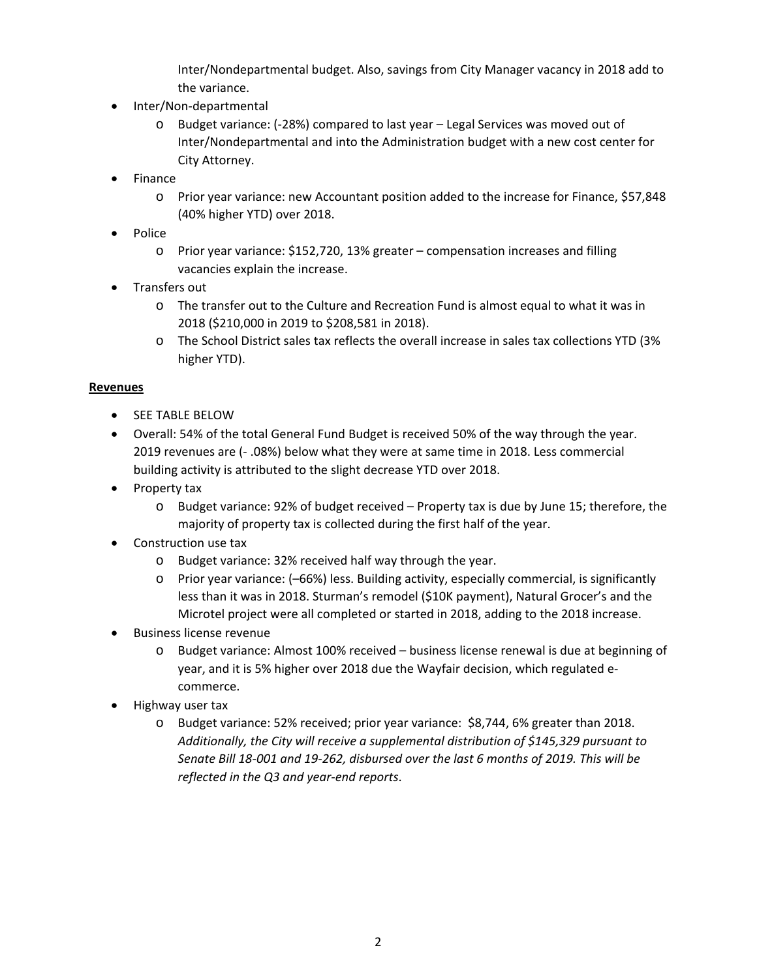Inter/Nondepartmental budget. Also, savings from City Manager vacancy in 2018 add to the variance.

- Inter/Non-departmental
	- o Budget variance: (-28%) compared to last year Legal Services was moved out of Inter/Nondepartmental and into the Administration budget with a new cost center for City Attorney.
- Finance
	- o Prior year variance: new Accountant position added to the increase for Finance, \$57,848 (40% higher YTD) over 2018.
- Police
	- o Prior year variance: \$152,720, 13% greater compensation increases and filling vacancies explain the increase.
- Transfers out
	- o The transfer out to the Culture and Recreation Fund is almost equal to what it was in 2018 (\$210,000 in 2019 to \$208,581 in 2018).
	- o The School District sales tax reflects the overall increase in sales tax collections YTD (3% higher YTD).

### **Revenues**

- SEE TABLE BELOW
- Overall: 54% of the total General Fund Budget is received 50% of the way through the year. 2019 revenues are (- .08%) below what they were at same time in 2018. Less commercial building activity is attributed to the slight decrease YTD over 2018.
- Property tax
	- o Budget variance: 92% of budget received Property tax is due by June 15; therefore, the majority of property tax is collected during the first half of the year.
- Construction use tax
	- o Budget variance: 32% received half way through the year.
	- o Prior year variance: (–66%) less. Building activity, especially commercial, is significantly less than it was in 2018. Sturman's remodel (\$10K payment), Natural Grocer's and the Microtel project were all completed or started in 2018, adding to the 2018 increase.
- Business license revenue
	- o Budget variance: Almost 100% received business license renewal is due at beginning of year, and it is 5% higher over 2018 due the Wayfair decision, which regulated ecommerce.
- Highway user tax
	- o Budget variance: 52% received; prior year variance: \$8,744, 6% greater than 2018. *Additionally, the City will receive a supplemental distribution of \$145,329 pursuant to Senate Bill 18-001 and 19-262, disbursed over the last 6 months of 2019. This will be reflected in the Q3 and year-end reports*.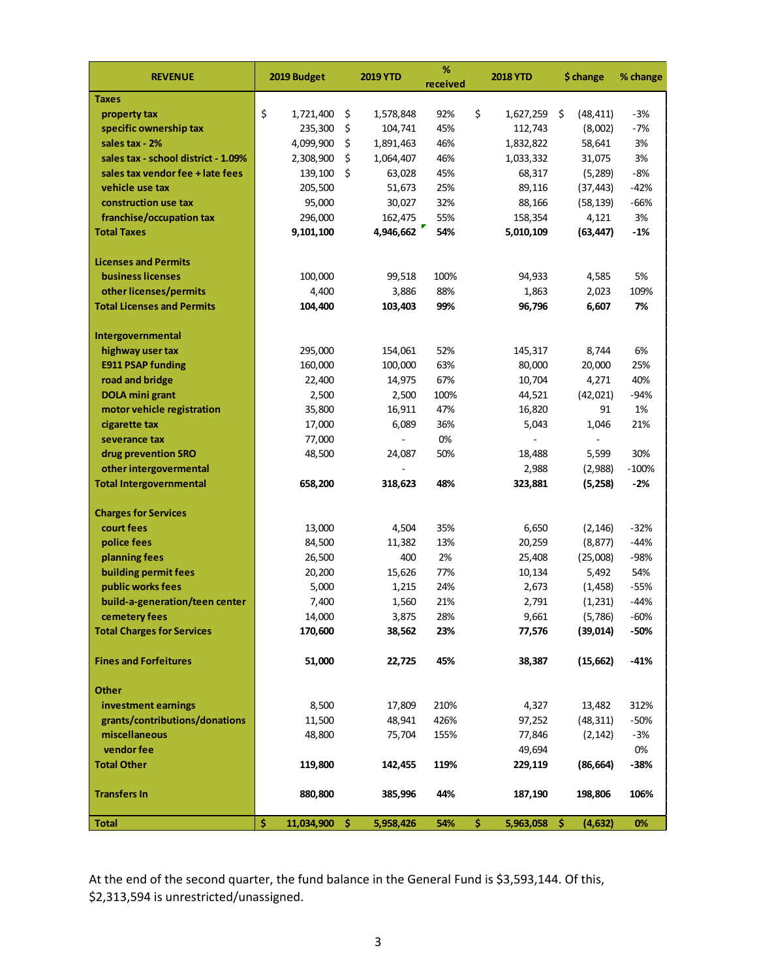| <b>REVENUE</b>                      | 2019 Budget      |     | <b>2019 YTD</b> | %<br>received | <b>2018 YTD</b>      | \$ change       | % change |
|-------------------------------------|------------------|-----|-----------------|---------------|----------------------|-----------------|----------|
| <b>Taxes</b>                        |                  |     |                 |               |                      |                 |          |
| property tax                        | \$<br>1,721,400  | \$  | 1,578,848       | 92%           | \$<br>1,627,259      | \$<br>(48, 411) | $-3%$    |
| specific ownership tax              | 235,300          | \$  | 104,741         | 45%           | 112,743              | (8,002)         | $-7%$    |
| sales tax - 2%                      | 4,099,900        | \$  | 1,891,463       | 46%           | 1,832,822            | 58,641          | 3%       |
| sales tax - school district - 1.09% | 2,308,900        | \$  | 1,064,407       | 46%           | 1,033,332            | 31,075          | 3%       |
| sales tax vendor fee + late fees    | 139,100          | \$  | 63,028          | 45%           | 68,317               | (5, 289)        | $-8%$    |
| vehicle use tax                     | 205,500          |     | 51,673          | 25%           | 89,116               | (37, 443)       | $-42%$   |
| construction use tax                | 95,000           |     | 30,027          | 32%           | 88,166               | (58, 139)       | $-66%$   |
| franchise/occupation tax            | 296,000          |     | 162,475         | 55%           | 158,354              | 4,121           | 3%       |
| <b>Total Taxes</b>                  | 9,101,100        |     | 4,946,662       | 54%           | 5,010,109            | (63, 447)       | $-1%$    |
|                                     |                  |     |                 |               |                      |                 |          |
| <b>Licenses and Permits</b>         |                  |     |                 |               |                      |                 |          |
| <b>business licenses</b>            | 100,000          |     | 99,518          | 100%          | 94,933               | 4,585           | 5%       |
| other licenses/permits              | 4,400            |     | 3,886           | 88%           | 1,863                | 2,023           | 109%     |
| <b>Total Licenses and Permits</b>   | 104,400          |     | 103,403         | 99%           | 96,796               | 6,607           | 7%       |
|                                     |                  |     |                 |               |                      |                 |          |
| Intergovernmental                   |                  |     |                 |               |                      |                 |          |
| highway user tax                    | 295,000          |     | 154,061         | 52%           | 145,317              | 8,744           | 6%       |
| <b>E911 PSAP funding</b>            | 160,000          |     | 100,000         | 63%           | 80,000               | 20,000          | 25%      |
| road and bridge                     | 22,400           |     | 14,975          | 67%           | 10,704               | 4,271           | 40%      |
| <b>DOLA mini grant</b>              | 2,500            |     | 2,500           | 100%          | 44,521               | (42, 021)       | $-94%$   |
| motor vehicle registration          | 35,800           |     | 16,911          | 47%           | 16,820               | 91              | 1%       |
| cigarette tax                       | 17,000           |     | 6,089           | 36%           | 5,043                | 1,046           | 21%      |
| severance tax                       | 77,000           |     |                 | 0%            |                      |                 |          |
| drug prevention SRO                 | 48,500           |     | 24,087          | 50%           | 18,488               | 5,599           | 30%      |
| other intergovermental              |                  |     |                 |               | 2,988                | (2,988)         | $-100%$  |
| <b>Total Intergovernmental</b>      | 658,200          |     | 318,623         | 48%           | 323,881              | (5,258)         | $-2%$    |
| <b>Charges for Services</b>         |                  |     |                 |               |                      |                 |          |
| court fees                          | 13,000           |     | 4,504           | 35%           | 6,650                | (2, 146)        | $-32%$   |
| police fees                         | 84,500           |     | 11,382          | 13%           | 20,259               | (8, 877)        | $-44%$   |
| planning fees                       | 26,500           |     | 400             | 2%            | 25,408               | (25,008)        | -98%     |
| building permit fees                | 20,200           |     | 15,626          | 77%           | 10,134               | 5,492           | 54%      |
| public works fees                   | 5,000            |     | 1,215           | 24%           | 2,673                | (1, 458)        | -55%     |
| build-a-generation/teen center      | 7,400            |     | 1,560           | 21%           | 2,791                | (1, 231)        | $-44%$   |
| cemetery fees                       | 14,000           |     | 3,875           | 28%           | 9,661                | (5,786)         | $-60%$   |
| <b>Total Charges for Services</b>   | 170,600          |     | 38,562          | 23%           | 77,576               | (39, 014)       | $-50%$   |
|                                     |                  |     |                 |               |                      |                 |          |
| <b>Fines and Forfeitures</b>        | 51,000           |     | 22,725          | 45%           | 38,387               | (15, 662)       | $-41%$   |
|                                     |                  |     |                 |               |                      |                 |          |
| <b>Other</b>                        |                  |     |                 |               |                      |                 |          |
| investment earnings                 | 8,500            |     | 17,809          | 210%          | 4,327                | 13,482          | 312%     |
| grants/contributions/donations      | 11,500           |     | 48,941          | 426%          | 97,252               | (48, 311)       | $-50%$   |
| miscellaneous                       | 48,800           |     | 75,704          | 155%          | 77,846               | (2, 142)        | $-3%$    |
| vendor fee                          |                  |     |                 |               | 49,694               |                 | $0\%$    |
| <b>Total Other</b>                  | 119,800          |     | 142,455         | 119%          | 229,119              | (86, 664)       | $-38%$   |
| <b>Transfers In</b>                 | 880,800          |     | 385,996         | 44%           | 187,190              | 198,806         | 106%     |
|                                     |                  |     |                 |               |                      |                 |          |
| <b>Total</b>                        | \$<br>11,034,900 | -\$ | 5,958,426       | 54%           | \$<br>$5,963,058$ \$ | (4, 632)        | 0%       |

At the end of the second quarter, the fund balance in the General Fund is \$3,593,144. Of this, \$2,313,594 is unrestricted/unassigned.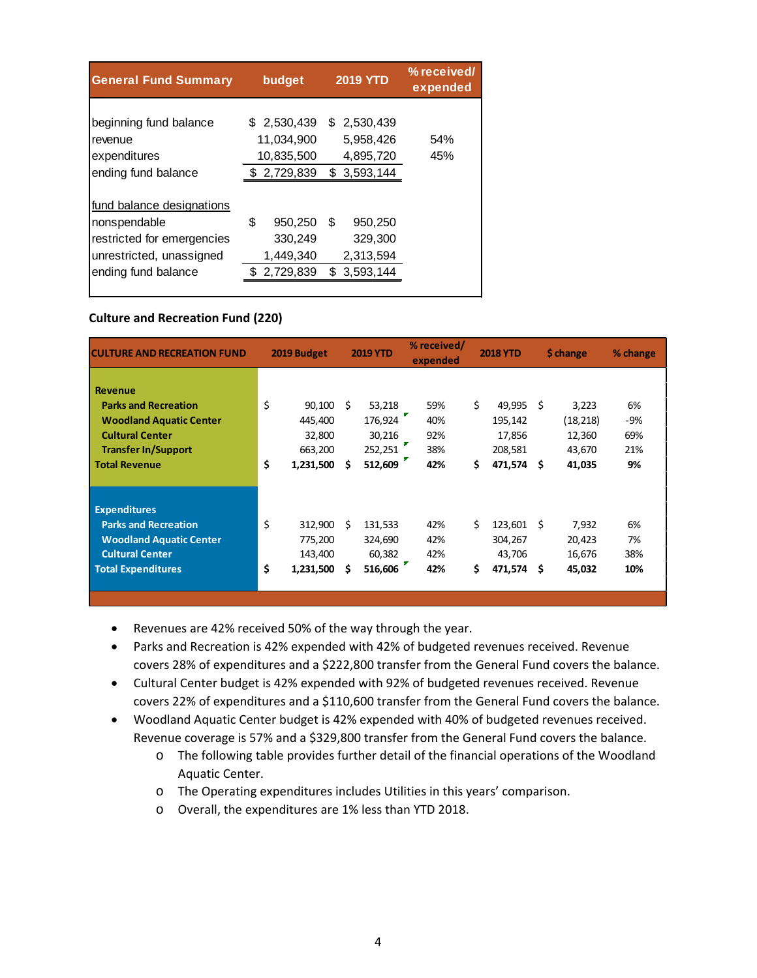| <b>General Fund Summary</b>                                                                                                 | budget                                                  | <b>2019 YTD</b>                                      | % received/<br>expended |
|-----------------------------------------------------------------------------------------------------------------------------|---------------------------------------------------------|------------------------------------------------------|-------------------------|
| beginning fund balance<br>revenue<br>expenditures<br>ending fund balance                                                    | \$ 2,530,439<br>11,034,900<br>10,835,500<br>\$2,729,839 | \$2,530,439<br>5,958,426<br>4,895,720<br>\$3,593,144 | 54%<br>45%              |
| fund balance designations<br> nonspendable<br>restricted for emergencies<br>unrestricted, unassigned<br>ending fund balance | \$<br>950,250<br>330,249<br>1,449,340<br>\$2,729,839    | \$<br>950,250<br>329,300<br>2,313,594<br>\$3,593,144 |                         |

### **Culture and Recreation Fund (220)**

| <b>CULTURE AND RECREATION FUND</b>                                                                                                                       |          | 2019 Budget                                         |         | <b>2019 YTD</b>                                   | % received/<br>expended         |          | <b>2018 YTD</b>                                   |          | \$ change                                       | % change                      |
|----------------------------------------------------------------------------------------------------------------------------------------------------------|----------|-----------------------------------------------------|---------|---------------------------------------------------|---------------------------------|----------|---------------------------------------------------|----------|-------------------------------------------------|-------------------------------|
| <b>Revenue</b><br><b>Parks and Recreation</b><br><b>Woodland Aquatic Center</b><br><b>Cultural Center</b><br><b>Transfer In/Support</b><br>Total Revenue | \$<br>\$ | 90,100<br>445,400<br>32,800<br>663,200<br>1,231,500 | Ŝ.<br>s | 53,218<br>176,924<br>30,216<br>252,251<br>512,609 | 59%<br>40%<br>92%<br>38%<br>42% | \$<br>\$ | 49,995<br>195,142<br>17,856<br>208,581<br>471,574 | - Ś<br>Ŝ | 3,223<br>(18,218)<br>12,360<br>43,670<br>41,035 | 6%<br>-9%<br>69%<br>21%<br>9% |
| <b>Expenditures</b><br><b>Parks and Recreation</b><br><b>Woodland Aquatic Center</b><br><b>Cultural Center</b><br><b>Total Expenditures</b>              | \$<br>\$ | 312,900<br>775,200<br>143,400<br>1,231,500          | Ś<br>Ś  | 131,533<br>324,690<br>60,382<br>516,606           | 42%<br>42%<br>42%<br>42%        | Ś.<br>\$ | 123,601<br>304,267<br>43,706<br>471,574           | -Ś<br>-S | 7,932<br>20,423<br>16,676<br>45,032             | 6%<br>7%<br>38%<br>10%        |

- Revenues are 42% received 50% of the way through the year.
- Parks and Recreation is 42% expended with 42% of budgeted revenues received. Revenue covers 28% of expenditures and a \$222,800 transfer from the General Fund covers the balance.
- Cultural Center budget is 42% expended with 92% of budgeted revenues received. Revenue covers 22% of expenditures and a \$110,600 transfer from the General Fund covers the balance.
- Woodland Aquatic Center budget is 42% expended with 40% of budgeted revenues received. Revenue coverage is 57% and a \$329,800 transfer from the General Fund covers the balance.
	- o The following table provides further detail of the financial operations of the Woodland Aquatic Center.
	- o The Operating expenditures includes Utilities in this years' comparison.
	- o Overall, the expenditures are 1% less than YTD 2018.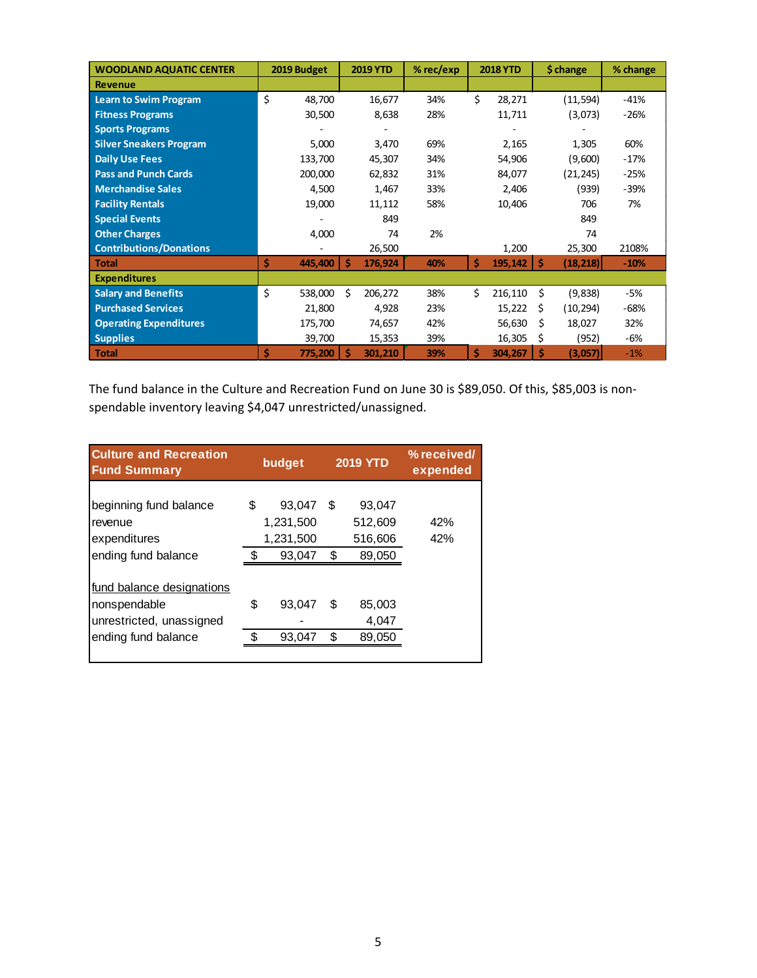| <b>WOODLAND AQUATIC CENTER</b> | 2019 Budget   | <b>2019 YTD</b> | $%$ rec/exp | <b>2018 YTD</b> | \$ change      | % change |
|--------------------------------|---------------|-----------------|-------------|-----------------|----------------|----------|
| <b>Revenue</b>                 |               |                 |             |                 |                |          |
| <b>Learn to Swim Program</b>   | \$<br>48,700  | 16,677          | 34%         | \$<br>28,271    | (11, 594)      | $-41%$   |
| <b>Fitness Programs</b>        | 30,500        | 8,638           | 28%         | 11,711          | (3,073)        | $-26%$   |
| <b>Sports Programs</b>         |               |                 |             |                 |                |          |
| <b>Silver Sneakers Program</b> | 5,000         | 3,470           | 69%         | 2,165           | 1,305          | 60%      |
| <b>Daily Use Fees</b>          | 133,700       | 45,307          | 34%         | 54,906          | (9,600)        | $-17%$   |
| <b>Pass and Punch Cards</b>    | 200,000       | 62,832          | 31%         | 84,077          | (21, 245)      | $-25%$   |
| <b>Merchandise Sales</b>       | 4,500         | 1,467           | 33%         | 2,406           | (939)          | $-39%$   |
| <b>Facility Rentals</b>        | 19,000        | 11,112          | 58%         | 10,406          | 706            | 7%       |
| <b>Special Events</b>          |               | 849             |             |                 | 849            |          |
| <b>Other Charges</b>           | 4,000         | 74              | 2%          |                 | 74             |          |
| <b>Contributions/Donations</b> |               | 26,500          |             | 1,200           | 25,300         | 2108%    |
| <b>Total</b>                   | \$<br>445,400 | Ŝ<br>176,924    | 40%         | \$<br>195,142   | Ŝ<br>(18, 218) | $-10%$   |
| <b>Expenditures</b>            |               |                 |             |                 |                |          |
| <b>Salary and Benefits</b>     | \$<br>538,000 | Ś.<br>206,272   | 38%         | Ś.<br>216,110   | Ś.<br>(9,838)  | $-5%$    |
| <b>Purchased Services</b>      | 21,800        | 4,928           | 23%         | 15,222          | Ś<br>(10, 294) | $-68%$   |
| <b>Operating Expenditures</b>  | 175,700       | 74,657          | 42%         | 56,630          | Ś<br>18,027    | 32%      |
| <b>Supplies</b>                | 39,700        | 15,353          | 39%         | 16,305          | (952)<br>S     | -6%      |
| Total                          | Ś<br>775,200  | 301,210         | 39%         | \$<br>304,267   | \$<br>(3,057)  | $-1%$    |

The fund balance in the Culture and Recreation Fund on June 30 is \$89,050. Of this, \$85,003 is nonspendable inventory leaving \$4,047 unrestricted/unassigned.

| <b>Culture and Recreation</b><br><b>Fund Summary</b>                                         |        | budget                                     |         | <b>2019 YTD</b>                        | % received/<br>expended |
|----------------------------------------------------------------------------------------------|--------|--------------------------------------------|---------|----------------------------------------|-------------------------|
| beginning fund balance<br>revenue<br>expenditures<br>ending fund balance                     | S<br>ፍ | 93,047<br>1,231,500<br>1,231,500<br>93,047 | S<br>\$ | 93,047<br>512,609<br>516,606<br>89,050 | 42%<br>42%              |
| fund balance designations<br>nonspendable<br>unrestricted, unassigned<br>ending fund balance | \$     | 93.047<br>93,047                           | S<br>S  | 85,003<br>4,047<br>89,050              |                         |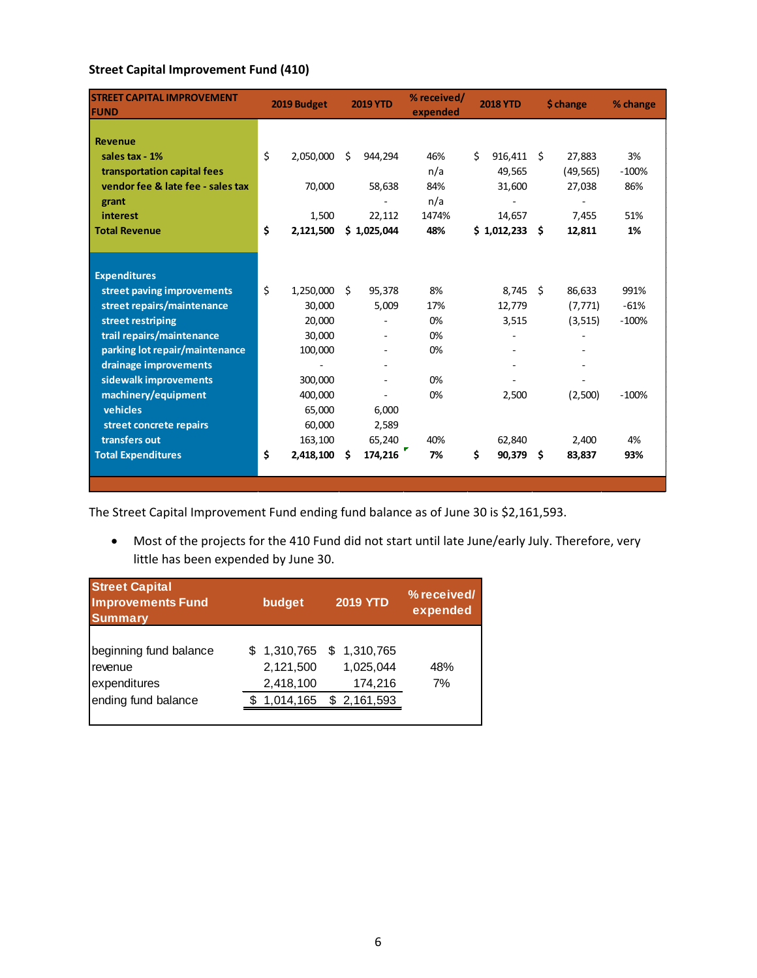### **Street Capital Improvement Fund (410)**

| <b>Revenue</b><br>\$<br>Ś.<br>2,050,000<br>Ś<br>944,294<br>916,411<br>27,883<br>3%<br>sales tax - 1%<br>46%<br>- Ś<br>transportation capital fees<br>$-100%$<br>n/a<br>49,565<br>(49, 565)<br>vendor fee & late fee - sales tax<br>70,000<br>58,638<br>84%<br>31,600<br>27,038<br>86%<br>n/a<br>grant<br>1,500<br>22,112<br>1474%<br>14,657<br>51%<br>interest<br>7,455<br>\$<br><b>Total Revenue</b><br>2,121,500<br>\$1,025,044<br>48%<br>$$1,012,233$ \$<br>1%<br>12,811<br><b>Expenditures</b><br>\$<br>street paving improvements<br>1,250,000<br>95,378<br>8%<br>8,745<br>86,633<br>991%<br>\$<br>\$<br>30,000<br>5,009<br>$-61%$<br>street repairs/maintenance<br>17%<br>12,779<br>(7, 771)<br>$-100%$<br>street restriping<br>20,000<br>0%<br>(3, 515)<br>3,515<br>trail repairs/maintenance<br>30,000<br>0%<br>parking lot repair/maintenance<br>100,000<br>0%<br>drainage improvements<br>٠<br>sidewalk improvements<br>0%<br>300,000<br>٠<br>machinery/equipment<br>(2,500)<br>$-100%$<br>400,000<br>0%<br>2,500<br>vehicles<br>65,000<br>6,000<br>60,000<br>street concrete repairs<br>2,589<br>transfers out<br>163,100<br>65,240<br>40%<br>62,840<br>2,400<br>4%<br>\$<br>\$<br><b>Total Expenditures</b><br>2,418,100<br>174,216<br>7%<br>90,379<br>\$<br>93%<br>Ŝ<br>83,837 | <b>STREET CAPITAL IMPROVEMENT</b><br><b>FUND</b> | 2019 Budget | <b>2019 YTD</b> | % received/<br>expended | <b>2018 YTD</b> | \$ change | % change |
|---------------------------------------------------------------------------------------------------------------------------------------------------------------------------------------------------------------------------------------------------------------------------------------------------------------------------------------------------------------------------------------------------------------------------------------------------------------------------------------------------------------------------------------------------------------------------------------------------------------------------------------------------------------------------------------------------------------------------------------------------------------------------------------------------------------------------------------------------------------------------------------------------------------------------------------------------------------------------------------------------------------------------------------------------------------------------------------------------------------------------------------------------------------------------------------------------------------------------------------------------------------------------------------------|--------------------------------------------------|-------------|-----------------|-------------------------|-----------------|-----------|----------|
|                                                                                                                                                                                                                                                                                                                                                                                                                                                                                                                                                                                                                                                                                                                                                                                                                                                                                                                                                                                                                                                                                                                                                                                                                                                                                             |                                                  |             |                 |                         |                 |           |          |
|                                                                                                                                                                                                                                                                                                                                                                                                                                                                                                                                                                                                                                                                                                                                                                                                                                                                                                                                                                                                                                                                                                                                                                                                                                                                                             |                                                  |             |                 |                         |                 |           |          |
|                                                                                                                                                                                                                                                                                                                                                                                                                                                                                                                                                                                                                                                                                                                                                                                                                                                                                                                                                                                                                                                                                                                                                                                                                                                                                             |                                                  |             |                 |                         |                 |           |          |
|                                                                                                                                                                                                                                                                                                                                                                                                                                                                                                                                                                                                                                                                                                                                                                                                                                                                                                                                                                                                                                                                                                                                                                                                                                                                                             |                                                  |             |                 |                         |                 |           |          |
|                                                                                                                                                                                                                                                                                                                                                                                                                                                                                                                                                                                                                                                                                                                                                                                                                                                                                                                                                                                                                                                                                                                                                                                                                                                                                             |                                                  |             |                 |                         |                 |           |          |
|                                                                                                                                                                                                                                                                                                                                                                                                                                                                                                                                                                                                                                                                                                                                                                                                                                                                                                                                                                                                                                                                                                                                                                                                                                                                                             |                                                  |             |                 |                         |                 |           |          |
|                                                                                                                                                                                                                                                                                                                                                                                                                                                                                                                                                                                                                                                                                                                                                                                                                                                                                                                                                                                                                                                                                                                                                                                                                                                                                             |                                                  |             |                 |                         |                 |           |          |
|                                                                                                                                                                                                                                                                                                                                                                                                                                                                                                                                                                                                                                                                                                                                                                                                                                                                                                                                                                                                                                                                                                                                                                                                                                                                                             |                                                  |             |                 |                         |                 |           |          |
|                                                                                                                                                                                                                                                                                                                                                                                                                                                                                                                                                                                                                                                                                                                                                                                                                                                                                                                                                                                                                                                                                                                                                                                                                                                                                             |                                                  |             |                 |                         |                 |           |          |
|                                                                                                                                                                                                                                                                                                                                                                                                                                                                                                                                                                                                                                                                                                                                                                                                                                                                                                                                                                                                                                                                                                                                                                                                                                                                                             |                                                  |             |                 |                         |                 |           |          |
|                                                                                                                                                                                                                                                                                                                                                                                                                                                                                                                                                                                                                                                                                                                                                                                                                                                                                                                                                                                                                                                                                                                                                                                                                                                                                             |                                                  |             |                 |                         |                 |           |          |
|                                                                                                                                                                                                                                                                                                                                                                                                                                                                                                                                                                                                                                                                                                                                                                                                                                                                                                                                                                                                                                                                                                                                                                                                                                                                                             |                                                  |             |                 |                         |                 |           |          |
|                                                                                                                                                                                                                                                                                                                                                                                                                                                                                                                                                                                                                                                                                                                                                                                                                                                                                                                                                                                                                                                                                                                                                                                                                                                                                             |                                                  |             |                 |                         |                 |           |          |
|                                                                                                                                                                                                                                                                                                                                                                                                                                                                                                                                                                                                                                                                                                                                                                                                                                                                                                                                                                                                                                                                                                                                                                                                                                                                                             |                                                  |             |                 |                         |                 |           |          |
|                                                                                                                                                                                                                                                                                                                                                                                                                                                                                                                                                                                                                                                                                                                                                                                                                                                                                                                                                                                                                                                                                                                                                                                                                                                                                             |                                                  |             |                 |                         |                 |           |          |
|                                                                                                                                                                                                                                                                                                                                                                                                                                                                                                                                                                                                                                                                                                                                                                                                                                                                                                                                                                                                                                                                                                                                                                                                                                                                                             |                                                  |             |                 |                         |                 |           |          |
|                                                                                                                                                                                                                                                                                                                                                                                                                                                                                                                                                                                                                                                                                                                                                                                                                                                                                                                                                                                                                                                                                                                                                                                                                                                                                             |                                                  |             |                 |                         |                 |           |          |
|                                                                                                                                                                                                                                                                                                                                                                                                                                                                                                                                                                                                                                                                                                                                                                                                                                                                                                                                                                                                                                                                                                                                                                                                                                                                                             |                                                  |             |                 |                         |                 |           |          |
|                                                                                                                                                                                                                                                                                                                                                                                                                                                                                                                                                                                                                                                                                                                                                                                                                                                                                                                                                                                                                                                                                                                                                                                                                                                                                             |                                                  |             |                 |                         |                 |           |          |
|                                                                                                                                                                                                                                                                                                                                                                                                                                                                                                                                                                                                                                                                                                                                                                                                                                                                                                                                                                                                                                                                                                                                                                                                                                                                                             |                                                  |             |                 |                         |                 |           |          |
|                                                                                                                                                                                                                                                                                                                                                                                                                                                                                                                                                                                                                                                                                                                                                                                                                                                                                                                                                                                                                                                                                                                                                                                                                                                                                             |                                                  |             |                 |                         |                 |           |          |
|                                                                                                                                                                                                                                                                                                                                                                                                                                                                                                                                                                                                                                                                                                                                                                                                                                                                                                                                                                                                                                                                                                                                                                                                                                                                                             |                                                  |             |                 |                         |                 |           |          |
|                                                                                                                                                                                                                                                                                                                                                                                                                                                                                                                                                                                                                                                                                                                                                                                                                                                                                                                                                                                                                                                                                                                                                                                                                                                                                             |                                                  |             |                 |                         |                 |           |          |

The Street Capital Improvement Fund ending fund balance as of June 30 is \$2,161,593.

• Most of the projects for the 410 Fund did not start until late June/early July. Therefore, very little has been expended by June 30.

| <b>Street Capital</b><br><b>Improvements Fund</b><br><b>Summary</b>      | budget                                               | <b>2019 YTD</b>                                    | % received/<br>expended |
|--------------------------------------------------------------------------|------------------------------------------------------|----------------------------------------------------|-------------------------|
| beginning fund balance<br>revenue<br>expenditures<br>ending fund balance | \$1,310,765<br>2,121,500<br>2,418,100<br>\$1,014,165 | \$1,310,765<br>1,025,044<br>174,216<br>\$2,161,593 | 48%<br>7%               |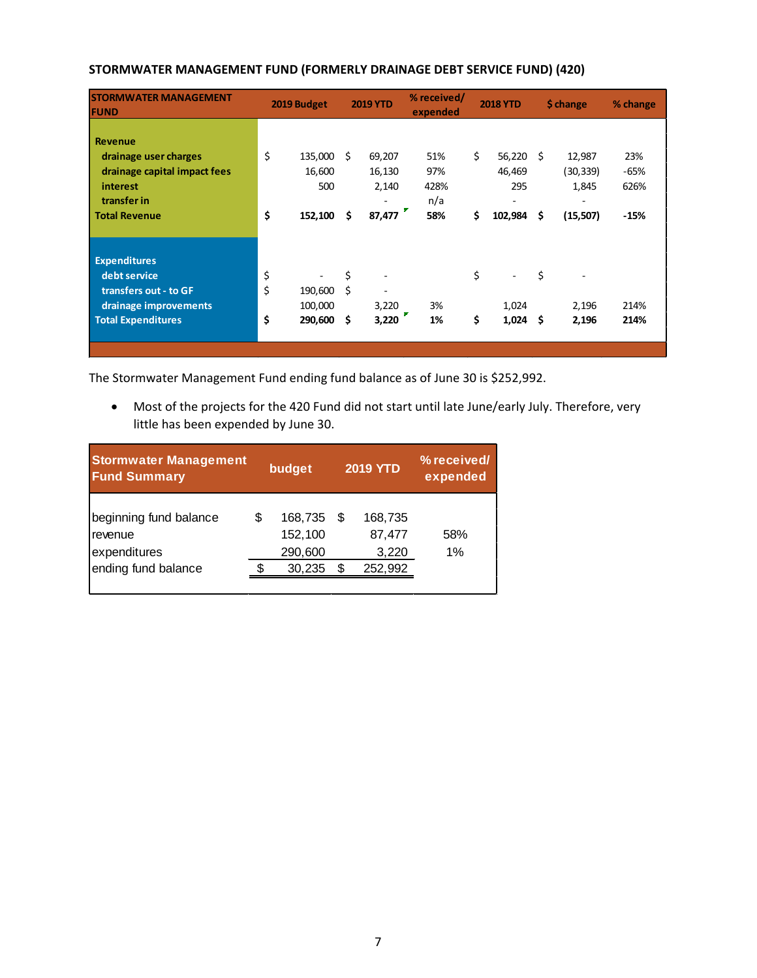| <b>STORMWATER MANAGEMENT</b><br><b>FUND</b>                                                                                |                | 2019 Budget                         |                 | <b>2019 YTD</b>                                                 | % received/<br>expended          |          | <b>2018 YTD</b>                         |           | \$ change                                    | % change                      |
|----------------------------------------------------------------------------------------------------------------------------|----------------|-------------------------------------|-----------------|-----------------------------------------------------------------|----------------------------------|----------|-----------------------------------------|-----------|----------------------------------------------|-------------------------------|
| <b>Revenue</b><br>drainage user charges<br>drainage capital impact fees<br>interest<br>transfer in<br><b>Total Revenue</b> | \$<br>\$       | 135,000<br>16,600<br>500<br>152,100 | Ŝ.<br>Ŝ.        | 69,207<br>16,130<br>2,140<br>$\overline{\phantom{a}}$<br>87,477 | 51%<br>97%<br>428%<br>n/a<br>58% | \$<br>\$ | 56,220<br>46,469<br>295<br>۰<br>102,984 | Ŝ.<br>\$  | 12,987<br>(30,339)<br>1,845<br>۰<br>(15,507) | 23%<br>-65%<br>626%<br>$-15%$ |
| <b>Expenditures</b><br>debt service<br>transfers out - to GF<br>drainage improvements<br><b>Total Expenditures</b>         | \$<br>\$<br>\$ | 190,600<br>100,000<br>290,600       | \$<br>Ś.<br>\$. | $\qquad \qquad \blacksquare$<br>۰<br>3,220<br>3,220             | 3%<br>1%                         | \$<br>\$ | 1,024<br>1,024                          | \$<br>-\$ | 2,196<br>2,196                               | 214%<br>214%                  |

### **STORMWATER MANAGEMENT FUND (FORMERLY DRAINAGE DEBT SERVICE FUND) (420)**

The Stormwater Management Fund ending fund balance as of June 30 is \$252,992.

• Most of the projects for the 420 Fund did not start until late June/early July. Therefore, very little has been expended by June 30.

| <b>Stormwater Management</b><br><b>Fund Summary</b> |   | budget                        |    | <b>2019 YTD</b>            | % received/<br>expended |
|-----------------------------------------------------|---|-------------------------------|----|----------------------------|-------------------------|
| beginning fund balance<br>revenue<br>expenditures   | S | 168,735<br>152,100<br>290,600 | S  | 168,735<br>87,477<br>3,220 | 58%<br>$1\%$            |
| ending fund balance                                 |   | 30,235                        | \$ | 252,992                    |                         |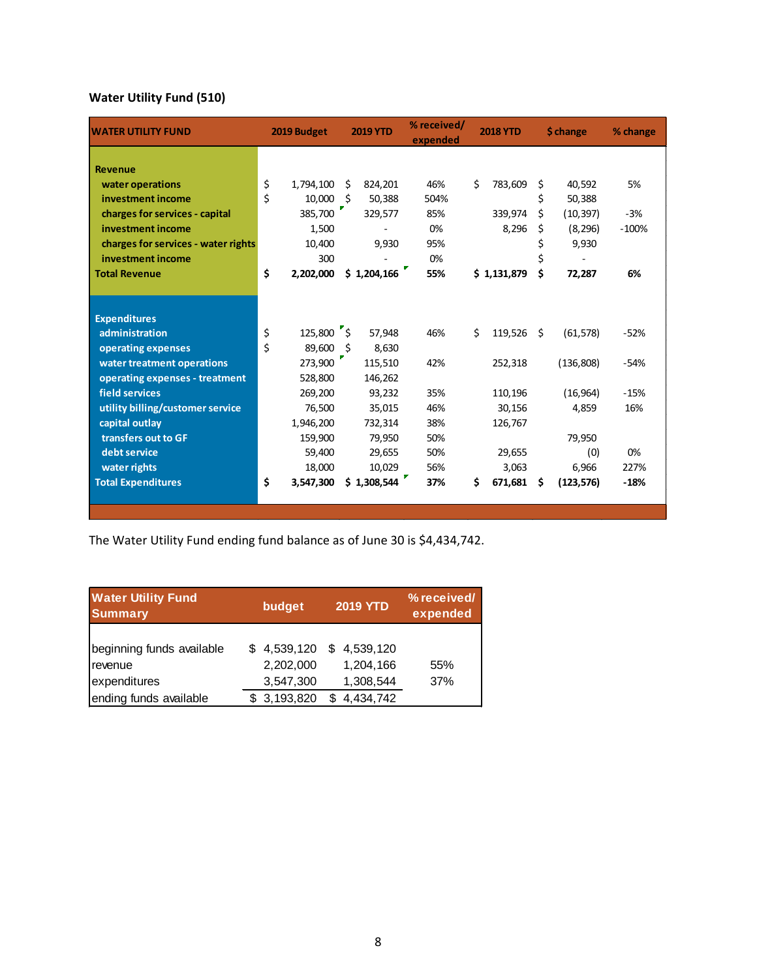# **Water Utility Fund (510)**

| <b>WATER UTILITY FUND</b>           | 2019 Budget                |    | <b>2019 YTD</b> | % received/<br>expended |    | <b>2018 YTD</b> |    | \$ change  | % change |
|-------------------------------------|----------------------------|----|-----------------|-------------------------|----|-----------------|----|------------|----------|
|                                     |                            |    |                 |                         |    |                 |    |            |          |
| <b>Revenue</b>                      |                            |    |                 |                         |    |                 |    |            |          |
| water operations                    | \$<br>1,794,100            | Ś  | 824,201         | 46%                     | Ś. | 783,609         | \$ | 40,592     | 5%       |
| investment income                   | \$<br>10,000               | Ŝ. | 50,388          | 504%                    |    |                 | \$ | 50,388     |          |
| charges for services - capital      | 385,700                    |    | 329,577         | 85%                     |    | 339,974         | Ś. | (10, 397)  | $-3%$    |
| investment income                   | 1,500                      |    |                 | 0%                      |    | 8,296           | \$ | (8, 296)   | $-100%$  |
| charges for services - water rights | 10,400                     |    | 9,930           | 95%                     |    |                 | \$ | 9,930      |          |
| investment income                   | 300                        |    |                 | 0%                      |    |                 | \$ |            |          |
| <b>Total Revenue</b>                | \$<br>2,202,000            |    | \$1,204,166     | 55%                     |    | \$1,131,879     | \$ | 72,287     | 6%       |
|                                     |                            |    |                 |                         |    |                 |    |            |          |
|                                     |                            |    |                 |                         |    |                 |    |            |          |
| <b>Expenditures</b>                 |                            |    |                 |                         |    |                 |    |            |          |
| administration                      | \$<br>$125,800$ $\sqrt{5}$ |    | 57,948          | 46%                     | Ś. | 119,526         | Ŝ. | (61, 578)  | $-52%$   |
| operating expenses                  | \$<br>89,600               | Ŝ. | 8,630           |                         |    |                 |    |            |          |
| water treatment operations          | 273,900                    |    | 115,510         | 42%                     |    | 252,318         |    | (136,808)  | $-54%$   |
| operating expenses - treatment      | 528,800                    |    | 146,262         |                         |    |                 |    |            |          |
| field services                      | 269,200                    |    | 93,232          | 35%                     |    | 110,196         |    | (16, 964)  | $-15%$   |
| utility billing/customer service    | 76,500                     |    | 35,015          | 46%                     |    | 30,156          |    | 4,859      | 16%      |
| capital outlay                      | 1,946,200                  |    | 732,314         | 38%                     |    | 126,767         |    |            |          |
| transfers out to GF                 | 159,900                    |    | 79,950          | 50%                     |    |                 |    | 79,950     |          |
|                                     |                            |    |                 |                         |    |                 |    |            |          |
| debt service                        | 59,400                     |    | 29,655          | 50%                     |    | 29,655          |    | (0)        | 0%       |
| water rights                        | 18,000                     |    | 10,029          | 56%                     |    | 3,063           |    | 6,966      | 227%     |
| <b>Total Expenditures</b>           | \$<br>3,547,300            |    | \$1,308,544     | 37%                     | Ś  | 671,681         | Ŝ  | (123, 576) | $-18%$   |
|                                     |                            |    |                 |                         |    |                 |    |            |          |

The Water Utility Fund ending fund balance as of June 30 is \$4,434,742.

| <b>Water Utility Fund</b><br><b>Summary</b>          | budget                                | <b>2019 YTD</b>                           | % received/<br>expended |
|------------------------------------------------------|---------------------------------------|-------------------------------------------|-------------------------|
| beginning funds available<br>revenue<br>expenditures | \$4,539,120<br>2,202,000<br>3,547,300 | 4,539,120<br>S.<br>1,204,166<br>1,308,544 | 55%<br>37%              |
| ending funds available                               | \$3,193,820                           | 4,434,742                                 |                         |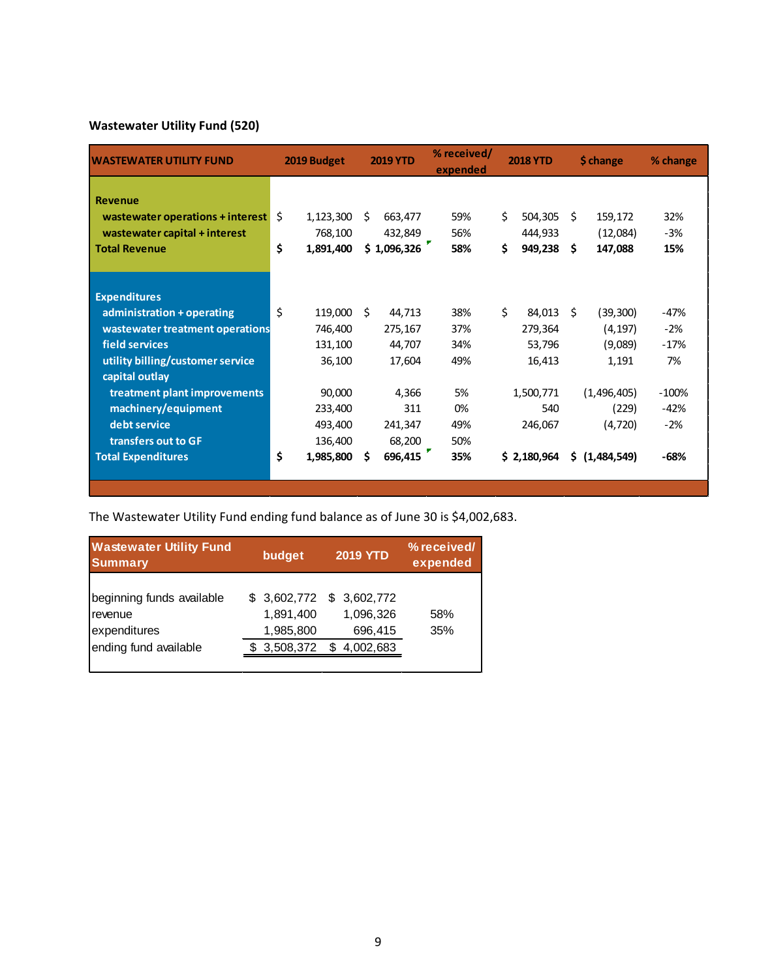# **Wastewater Utility Fund (520)**

| <b>WASTEWATER UTILITY FUND</b>   |    | 2019 Budget |    | <b>2019 YTD</b> | % received/<br>expended |    | <b>2018 YTD</b> |     | \$ change      | % change |
|----------------------------------|----|-------------|----|-----------------|-------------------------|----|-----------------|-----|----------------|----------|
| <b>Revenue</b>                   |    |             |    |                 |                         |    |                 |     |                |          |
| wastewater operations + interest | Ŝ. | 1,123,300   | Ŝ. | 663,477         | 59%                     | Ś. | 504,305         | S.  | 159,172        | 32%      |
| wastewater capital + interest    |    | 768,100     |    | 432,849         | 56%                     |    | 444,933         |     | (12,084)       | -3%      |
| <b>Total Revenue</b>             | \$ | 1,891,400   |    | \$1,096,326     | 58%                     | \$ | 949,238         | - Ś | 147,088        | 15%      |
|                                  |    |             |    |                 |                         |    |                 |     |                |          |
| <b>Expenditures</b>              |    |             |    |                 |                         |    |                 |     |                |          |
| administration + operating       | \$ | 119,000     | Ŝ. | 44,713          | 38%                     | \$ | 84,013          | -S  | (39, 300)      | -47%     |
| wastewater treatment operations  |    | 746,400     |    | 275,167         | 37%                     |    | 279,364         |     | (4, 197)       | $-2%$    |
| field services                   |    | 131,100     |    | 44,707          | 34%                     |    | 53,796          |     | (9,089)        | $-17%$   |
| utility billing/customer service |    | 36,100      |    | 17,604          | 49%                     |    | 16,413          |     | 1,191          | 7%       |
| capital outlay                   |    |             |    |                 |                         |    |                 |     |                |          |
| treatment plant improvements     |    | 90,000      |    | 4,366           | 5%                      |    | 1,500,771       |     | (1,496,405)    | $-100%$  |
| machinery/equipment              |    | 233,400     |    | 311             | 0%                      |    | 540             |     | (229)          | -42%     |
| debt service                     |    | 493,400     |    | 241,347         | 49%                     |    | 246,067         |     | (4, 720)       | $-2%$    |
| transfers out to GF              |    | 136,400     |    | 68,200          | 50%                     |    |                 |     |                |          |
| <b>Total Expenditures</b>        | \$ | 1,985,800   | S  | 696,415         | 35%                     |    | \$2,180,964     |     | \$ (1,484,549) | $-68%$   |
|                                  |    |             |    |                 |                         |    |                 |     |                |          |

The Wastewater Utility Fund ending fund balance as of June 30 is \$4,002,683.

| <b>Wastewater Utility Fund</b><br><b>Summary</b>                              | budget                                             |   | <b>2019 YTD</b>                                  | % received/<br>expended |  |  |
|-------------------------------------------------------------------------------|----------------------------------------------------|---|--------------------------------------------------|-------------------------|--|--|
| beginning funds available<br>revenue<br>expenditures<br>ending fund available | \$3,602,772<br>1,891,400<br>1,985,800<br>3,508,372 | S | \$3,602,772<br>1,096,326<br>696,415<br>4,002,683 | 58%<br>35%              |  |  |